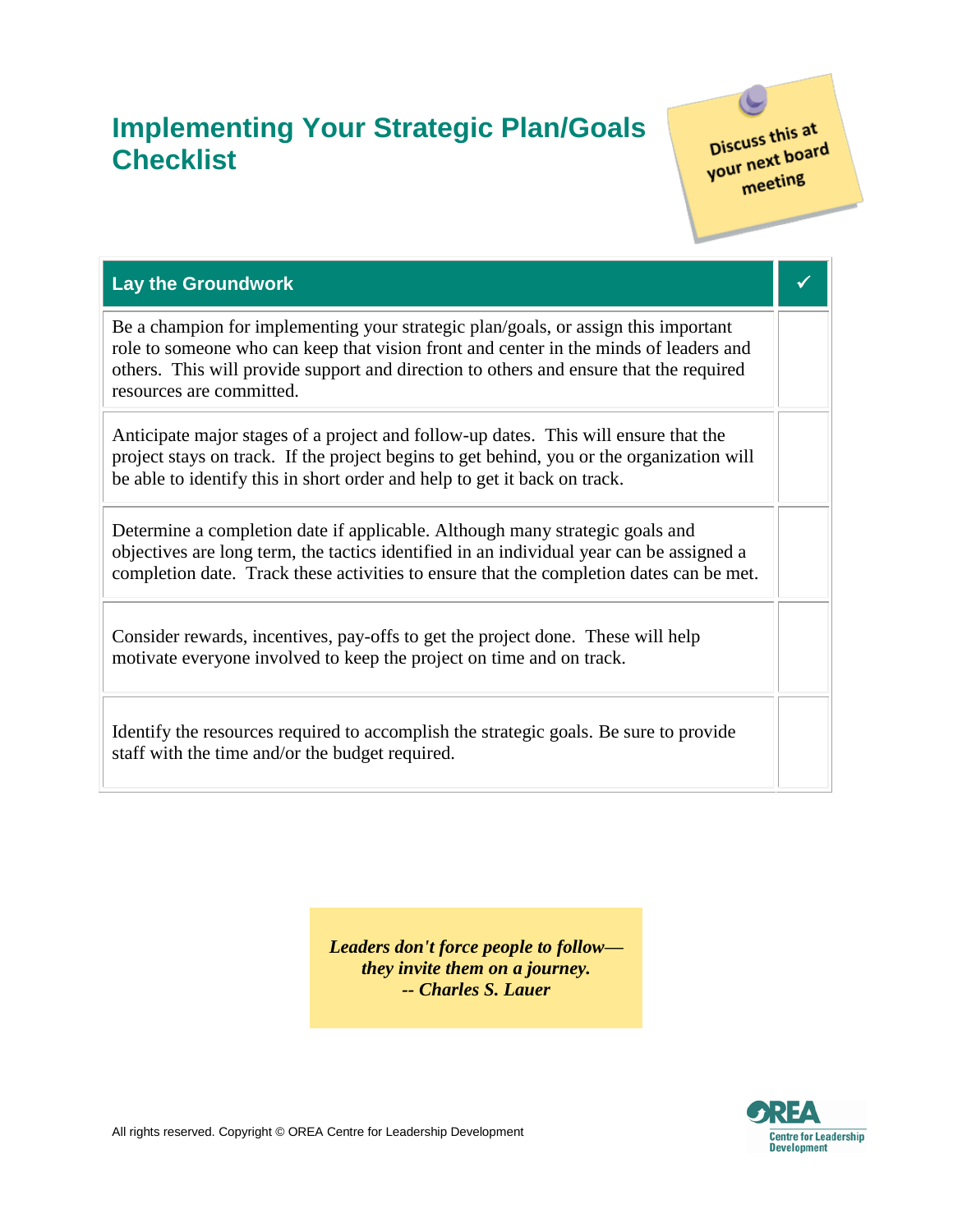## **Implementing Your Strategic Plan/Goals Checklist**

Discuss this at Discuss this at<br>your next board  $r$  mexting

| <b>Lay the Groundwork</b>                                                                                                                                                                                                                                                                         |  |
|---------------------------------------------------------------------------------------------------------------------------------------------------------------------------------------------------------------------------------------------------------------------------------------------------|--|
| Be a champion for implementing your strategic plan/goals, or assign this important<br>role to someone who can keep that vision front and center in the minds of leaders and<br>others. This will provide support and direction to others and ensure that the required<br>resources are committed. |  |
| Anticipate major stages of a project and follow-up dates. This will ensure that the<br>project stays on track. If the project begins to get behind, you or the organization will<br>be able to identify this in short order and help to get it back on track.                                     |  |
| Determine a completion date if applicable. Although many strategic goals and<br>objectives are long term, the tactics identified in an individual year can be assigned a<br>completion date. Track these activities to ensure that the completion dates can be met.                               |  |
| Consider rewards, incentives, pay-offs to get the project done. These will help<br>motivate everyone involved to keep the project on time and on track.                                                                                                                                           |  |
| Identify the resources required to accomplish the strategic goals. Be sure to provide<br>staff with the time and/or the budget required.                                                                                                                                                          |  |

*Leaders don't force people to follow they invite them on a journey. -- Charles S. Lauer*